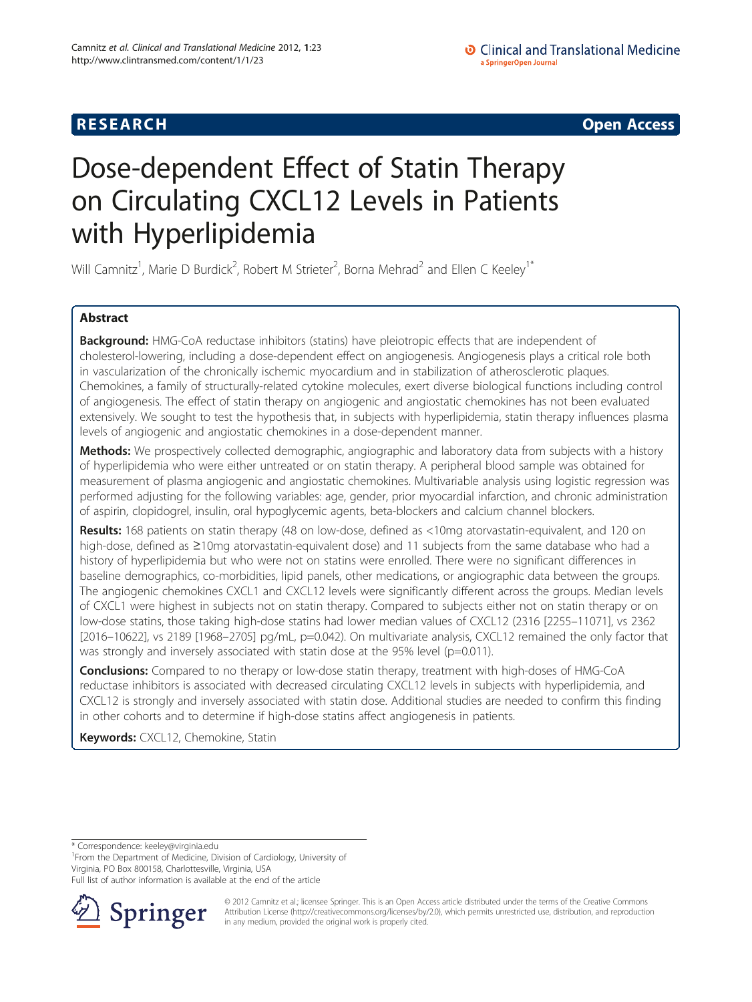## **RESEARCH RESEARCH CONSUMING ACCESS**

# Dose-dependent Effect of Statin Therapy on Circulating CXCL12 Levels in Patients with Hyperlipidemia

Will Camnitz<sup>1</sup>, Marie D Burdick<sup>2</sup>, Robert M Strieter<sup>2</sup>, Borna Mehrad<sup>2</sup> and Ellen C Keeley<sup>1\*</sup>

## Abstract

Background: HMG-CoA reductase inhibitors (statins) have pleiotropic effects that are independent of cholesterol-lowering, including a dose-dependent effect on angiogenesis. Angiogenesis plays a critical role both in vascularization of the chronically ischemic myocardium and in stabilization of atherosclerotic plaques. Chemokines, a family of structurally-related cytokine molecules, exert diverse biological functions including control of angiogenesis. The effect of statin therapy on angiogenic and angiostatic chemokines has not been evaluated extensively. We sought to test the hypothesis that, in subjects with hyperlipidemia, statin therapy influences plasma levels of angiogenic and angiostatic chemokines in a dose-dependent manner.

Methods: We prospectively collected demographic, angiographic and laboratory data from subjects with a history of hyperlipidemia who were either untreated or on statin therapy. A peripheral blood sample was obtained for measurement of plasma angiogenic and angiostatic chemokines. Multivariable analysis using logistic regression was performed adjusting for the following variables: age, gender, prior myocardial infarction, and chronic administration of aspirin, clopidogrel, insulin, oral hypoglycemic agents, beta-blockers and calcium channel blockers.

Results: 168 patients on statin therapy (48 on low-dose, defined as <10mg atorvastatin-equivalent, and 120 on high-dose, defined as ≥10mg atorvastatin-equivalent dose) and 11 subjects from the same database who had a history of hyperlipidemia but who were not on statins were enrolled. There were no significant differences in baseline demographics, co-morbidities, lipid panels, other medications, or angiographic data between the groups. The angiogenic chemokines CXCL1 and CXCL12 levels were significantly different across the groups. Median levels of CXCL1 were highest in subjects not on statin therapy. Compared to subjects either not on statin therapy or on low-dose statins, those taking high-dose statins had lower median values of CXCL12 (2316 [2255–11071], vs 2362 [2016–10622], vs 2189 [1968–2705] pg/mL, p=0.042). On multivariate analysis, CXCL12 remained the only factor that was strongly and inversely associated with statin dose at the 95% level (p=0.011).

**Conclusions:** Compared to no therapy or low-dose statin therapy, treatment with high-doses of HMG-CoA reductase inhibitors is associated with decreased circulating CXCL12 levels in subjects with hyperlipidemia, and CXCL12 is strongly and inversely associated with statin dose. Additional studies are needed to confirm this finding in other cohorts and to determine if high-dose statins affect angiogenesis in patients.

Keywords: CXCL12, Chemokine, Statin

\* Correspondence: [keeley@virginia.edu](mailto:keeley@virginia.edu) <sup>1</sup>

<sup>1</sup> From the Department of Medicine, Division of Cardiology, University of Virginia, PO Box 800158, Charlottesville, Virginia, USA

Full list of author information is available at the end of the article



© 2012 Camnitz et al.; licensee Springer. This is an Open Access article distributed under the terms of the Creative Commons Attribution License [\(http://creativecommons.org/licenses/by/2.0\)](http://creativecommons.org/licenses/by/2.0), which permits unrestricted use, distribution, and reproduction in any medium, provided the original work is properly cited.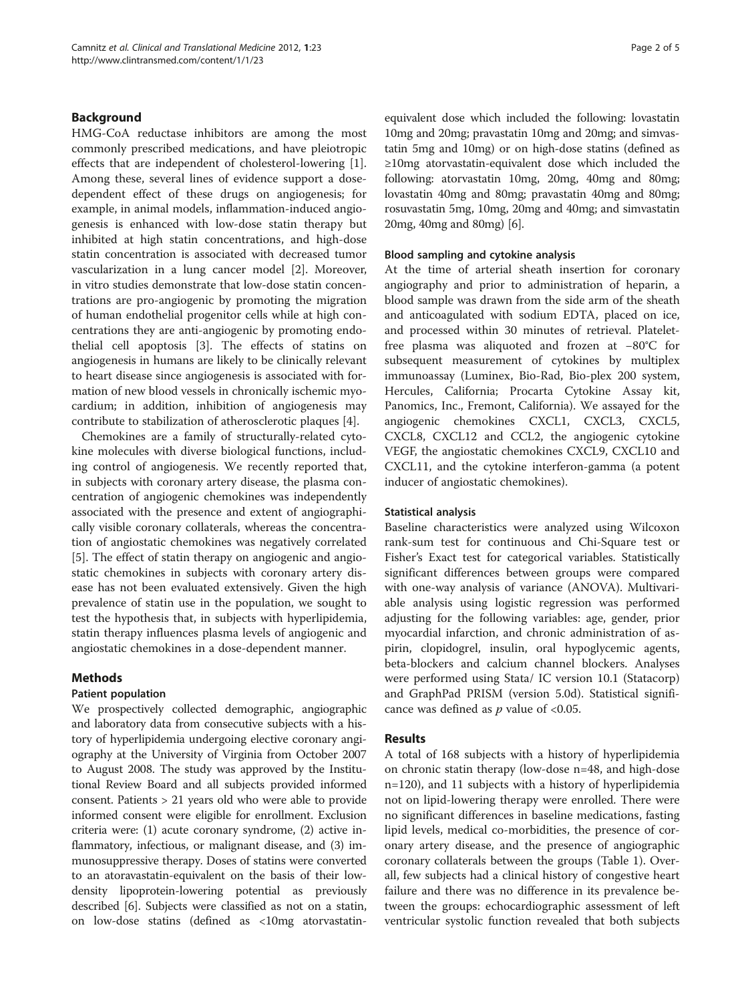## Background

HMG-CoA reductase inhibitors are among the most commonly prescribed medications, and have pleiotropic effects that are independent of cholesterol-lowering [\[1](#page-4-0)]. Among these, several lines of evidence support a dosedependent effect of these drugs on angiogenesis; for example, in animal models, inflammation-induced angiogenesis is enhanced with low-dose statin therapy but inhibited at high statin concentrations, and high-dose statin concentration is associated with decreased tumor vascularization in a lung cancer model [[2\]](#page-4-0). Moreover, in vitro studies demonstrate that low-dose statin concentrations are pro-angiogenic by promoting the migration of human endothelial progenitor cells while at high concentrations they are anti-angiogenic by promoting endothelial cell apoptosis [\[3](#page-4-0)]. The effects of statins on angiogenesis in humans are likely to be clinically relevant to heart disease since angiogenesis is associated with formation of new blood vessels in chronically ischemic myocardium; in addition, inhibition of angiogenesis may contribute to stabilization of atherosclerotic plaques [[4](#page-4-0)].

Chemokines are a family of structurally-related cytokine molecules with diverse biological functions, including control of angiogenesis. We recently reported that, in subjects with coronary artery disease, the plasma concentration of angiogenic chemokines was independently associated with the presence and extent of angiographically visible coronary collaterals, whereas the concentration of angiostatic chemokines was negatively correlated [[5\]](#page-4-0). The effect of statin therapy on angiogenic and angiostatic chemokines in subjects with coronary artery disease has not been evaluated extensively. Given the high prevalence of statin use in the population, we sought to test the hypothesis that, in subjects with hyperlipidemia, statin therapy influences plasma levels of angiogenic and angiostatic chemokines in a dose-dependent manner.

## Methods

## Patient population

We prospectively collected demographic, angiographic and laboratory data from consecutive subjects with a history of hyperlipidemia undergoing elective coronary angiography at the University of Virginia from October 2007 to August 2008. The study was approved by the Institutional Review Board and all subjects provided informed consent. Patients > 21 years old who were able to provide informed consent were eligible for enrollment. Exclusion criteria were: (1) acute coronary syndrome, (2) active inflammatory, infectious, or malignant disease, and (3) immunosuppressive therapy. Doses of statins were converted to an atoravastatin-equivalent on the basis of their lowdensity lipoprotein-lowering potential as previously described [[6](#page-4-0)]. Subjects were classified as not on a statin, on low-dose statins (defined as <10mg atorvastatinequivalent dose which included the following: lovastatin 10mg and 20mg; pravastatin 10mg and 20mg; and simvastatin 5mg and 10mg) or on high-dose statins (defined as ≥10mg atorvastatin-equivalent dose which included the following: atorvastatin 10mg, 20mg, 40mg and 80mg; lovastatin 40mg and 80mg; pravastatin 40mg and 80mg; rosuvastatin 5mg, 10mg, 20mg and 40mg; and simvastatin 20mg, 40mg and 80mg) [\[6](#page-4-0)].

## Blood sampling and cytokine analysis

At the time of arterial sheath insertion for coronary angiography and prior to administration of heparin, a blood sample was drawn from the side arm of the sheath and anticoagulated with sodium EDTA, placed on ice, and processed within 30 minutes of retrieval. Plateletfree plasma was aliquoted and frozen at −80°C for subsequent measurement of cytokines by multiplex immunoassay (Luminex, Bio-Rad, Bio-plex 200 system, Hercules, California; Procarta Cytokine Assay kit, Panomics, Inc., Fremont, California). We assayed for the angiogenic chemokines CXCL1, CXCL3, CXCL5, CXCL8, CXCL12 and CCL2, the angiogenic cytokine VEGF, the angiostatic chemokines CXCL9, CXCL10 and CXCL11, and the cytokine interferon-gamma (a potent inducer of angiostatic chemokines).

## Statistical analysis

Baseline characteristics were analyzed using Wilcoxon rank-sum test for continuous and Chi-Square test or Fisher's Exact test for categorical variables. Statistically significant differences between groups were compared with one-way analysis of variance (ANOVA). Multivariable analysis using logistic regression was performed adjusting for the following variables: age, gender, prior myocardial infarction, and chronic administration of aspirin, clopidogrel, insulin, oral hypoglycemic agents, beta-blockers and calcium channel blockers. Analyses were performed using Stata/ IC version 10.1 (Statacorp) and GraphPad PRISM (version 5.0d). Statistical significance was defined as  $p$  value of <0.05.

## Results

A total of 168 subjects with a history of hyperlipidemia on chronic statin therapy (low-dose n=48, and high-dose n=120), and 11 subjects with a history of hyperlipidemia not on lipid-lowering therapy were enrolled. There were no significant differences in baseline medications, fasting lipid levels, medical co-morbidities, the presence of coronary artery disease, and the presence of angiographic coronary collaterals between the groups (Table [1](#page-2-0)). Overall, few subjects had a clinical history of congestive heart failure and there was no difference in its prevalence between the groups: echocardiographic assessment of left ventricular systolic function revealed that both subjects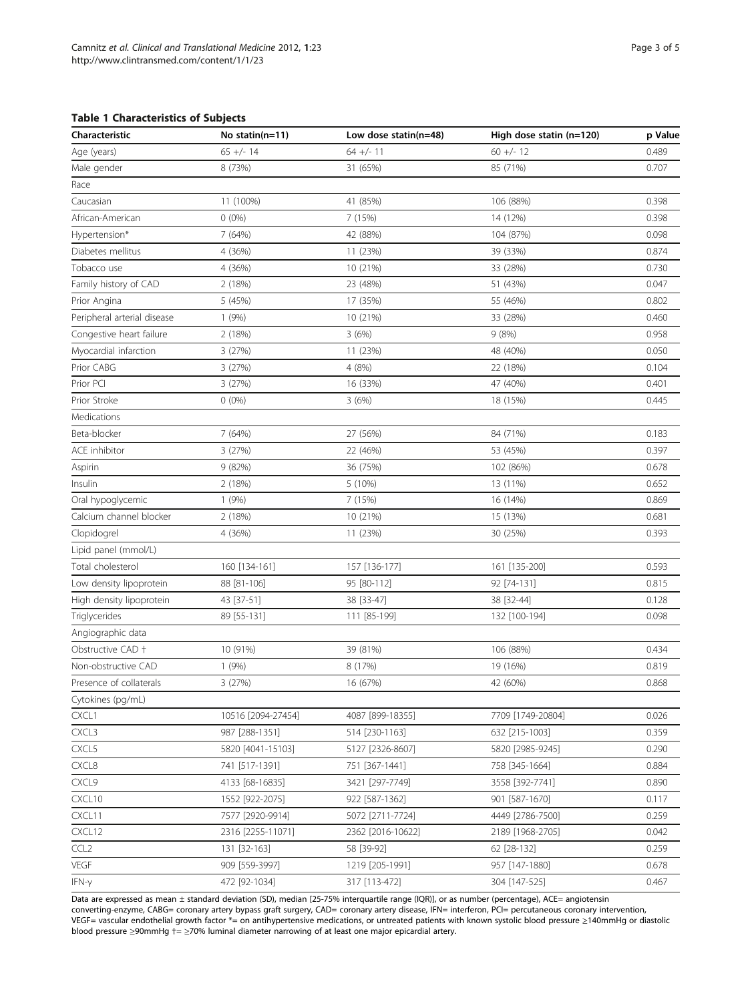<span id="page-2-0"></span>

| Characteristic              | No statin(n=11)    | Low dose statin(n=48) | High dose statin (n=120) | p Value |
|-----------------------------|--------------------|-----------------------|--------------------------|---------|
| Age (years)                 | $65 +/- 14$        | $64 +/- 11$           | $60 +/- 12$              | 0.489   |
| Male gender                 | 8 (73%)            | 31 (65%)              | 85 (71%)                 | 0.707   |
| Race                        |                    |                       |                          |         |
| Caucasian                   | 11 (100%)          | 41 (85%)              | 106 (88%)                | 0.398   |
| African-American            | $0(0\%)$           | 7 (15%)               | 14 (12%)                 | 0.398   |
| Hypertension*               | 7 (64%)            | 42 (88%)              | 104 (87%)                | 0.098   |
| Diabetes mellitus           | 4 (36%)            | 11 (23%)              | 39 (33%)                 | 0.874   |
| Tobacco use                 | 4 (36%)            | 10 (21%)              | 33 (28%)                 | 0.730   |
| Family history of CAD       | 2 (18%)            | 23 (48%)              | 51 (43%)                 | 0.047   |
| Prior Angina                | 5 (45%)            | 17 (35%)              | 55 (46%)                 | 0.802   |
| Peripheral arterial disease | 1(9%)              | 10 (21%)              | 33 (28%)                 | 0.460   |
| Congestive heart failure    | 2 (18%)            | 3(6%)                 | 9(8%)                    | 0.958   |
| Myocardial infarction       | 3 (27%)            | 11 (23%)              | 48 (40%)                 | 0.050   |
| Prior CABG                  | 3 (27%)            | 4 (8%)                | 22 (18%)                 | 0.104   |
| Prior PCI                   | 3 (27%)            | 16 (33%)              | 47 (40%)                 | 0.401   |
| Prior Stroke                | $0(0\%)$           | 3(6%)                 | 18 (15%)                 | 0.445   |
| Medications                 |                    |                       |                          |         |
| Beta-blocker                | 7 (64%)            | 27 (56%)              | 84 (71%)                 | 0.183   |
| <b>ACE</b> inhibitor        | 3 (27%)            | 22 (46%)              | 53 (45%)                 | 0.397   |
| Aspirin                     | 9 (82%)            | 36 (75%)              | 102 (86%)                | 0.678   |
| Insulin                     | 2 (18%)            | 5(10%)                | 13 (11%)                 | 0.652   |
| Oral hypoglycemic           | 1(9%)              | 7 (15%)               | 16 (14%)                 | 0.869   |
| Calcium channel blocker     | 2 (18%)            | 10 (21%)              | 15 (13%)                 | 0.681   |
| Clopidogrel                 | 4 (36%)            | 11 (23%)              | 30 (25%)                 | 0.393   |
| Lipid panel (mmol/L)        |                    |                       |                          |         |
| Total cholesterol           | 160 [134-161]      | 157 [136-177]         | 161 [135-200]            | 0.593   |
| Low density lipoprotein     | 88 [81-106]        | 95 [80-112]           | 92 [74-131]              | 0.815   |
| High density lipoprotein    | 43 [37-51]         | 38 [33-47]            | 38 [32-44]               | 0.128   |
| Triglycerides               | 89 [55-131]        | 111 [85-199]          | 132 [100-194]            | 0.098   |
| Angiographic data           |                    |                       |                          |         |
| Obstructive CAD +           | 10 (91%)           | 39 (81%)              | 106 (88%)                | 0.434   |
| Non-obstructive CAD         | 1(9%)              | 8 (17%)               | 19 (16%)                 | 0.819   |
| Presence of collaterals     | 3 (27%)            | 16 (67%)              | 42 (60%)                 | 0.868   |
| Cytokines (pg/mL)           |                    |                       |                          |         |
| CXCL1                       | 10516 [2094-27454] | 4087 [899-18355]      | 7709 [1749-20804]        | 0.026   |
| CXCL3                       | 987 [288-1351]     | 514 [230-1163]        | 632 [215-1003]           | 0.359   |
| CXCL5                       | 5820 [4041-15103]  | 5127 [2326-8607]      | 5820 [2985-9245]         | 0.290   |
| CXCL8                       | 741 [517-1391]     | 751 [367-1441]        | 758 [345-1664]           | 0.884   |
| CXCL9                       | 4133 [68-16835]    | 3421 [297-7749]       | 3558 [392-7741]          | 0.890   |
| CXCL10                      | 1552 [922-2075]    | 922 [587-1362]        | 901 [587-1670]           | 0.117   |
| CXCL11                      | 7577 [2920-9914]   | 5072 [2711-7724]      | 4449 [2786-7500]         | 0.259   |
| CXCL12                      | 2316 [2255-11071]  | 2362 [2016-10622]     | 2189 [1968-2705]         | 0.042   |
| CCL2                        | 131 [32-163]       | 58 [39-92]            | 62 [28-132]              | 0.259   |
| VEGF                        | 909 [559-3997]     | 1219 [205-1991]       | 957 [147-1880]           | 0.678   |
| IFN-y                       | 472 [92-1034]      | 317 [113-472]         | 304 [147-525]            | 0.467   |

Data are expressed as mean ± standard deviation (SD), median [25-75% interquartile range (IQR)], or as number (percentage), ACE= angiotensin converting-enzyme, CABG= coronary artery bypass graft surgery, CAD= coronary artery disease, IFN= interferon, PCI= percutaneous coronary intervention, VEGF= vascular endothelial growth factor \*= on antihypertensive medications, or untreated patients with known systolic blood pressure ≥140mmHg or diastolic blood pressure ≥90mmHg †= ≥70% luminal diameter narrowing of at least one major epicardial artery.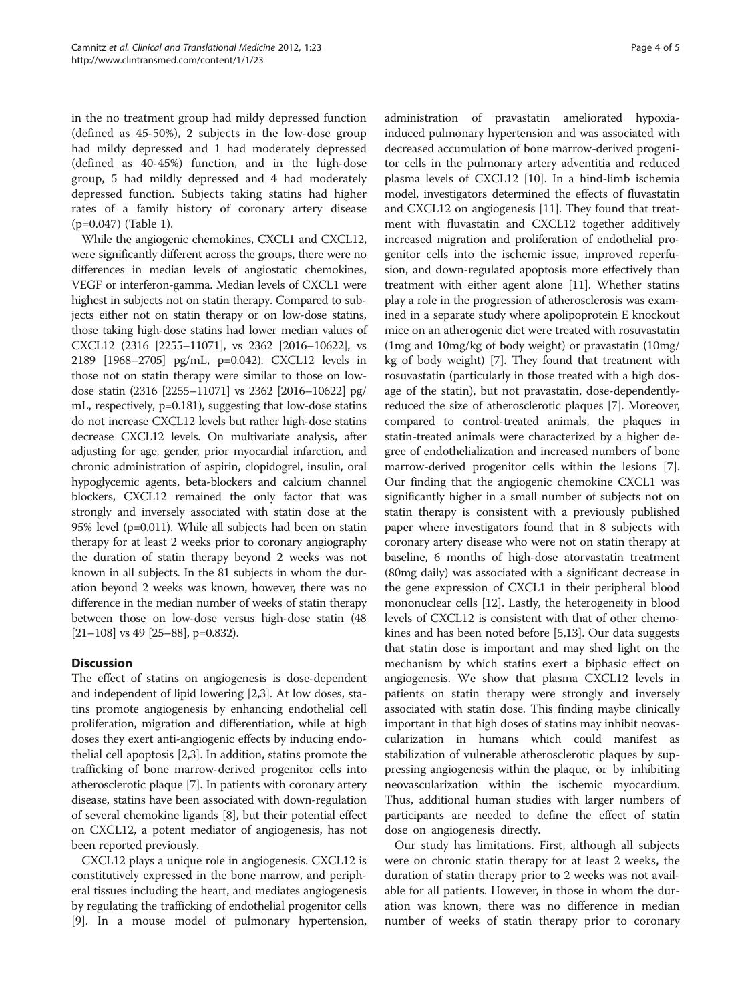in the no treatment group had mildy depressed function (defined as 45-50%), 2 subjects in the low-dose group had mildy depressed and 1 had moderately depressed (defined as 40-45%) function, and in the high-dose group, 5 had mildly depressed and 4 had moderately depressed function. Subjects taking statins had higher rates of a family history of coronary artery disease (p=0.047) (Table [1\)](#page-2-0).

While the angiogenic chemokines, CXCL1 and CXCL12, were significantly different across the groups, there were no differences in median levels of angiostatic chemokines, VEGF or interferon-gamma. Median levels of CXCL1 were highest in subjects not on statin therapy. Compared to subjects either not on statin therapy or on low-dose statins, those taking high-dose statins had lower median values of CXCL12 (2316 [2255–11071], vs 2362 [2016–10622], vs 2189 [1968–2705] pg/mL, p=0.042). CXCL12 levels in those not on statin therapy were similar to those on lowdose statin (2316 [2255–11071] vs 2362 [2016–10622] pg/ mL, respectively, p=0.181), suggesting that low-dose statins do not increase CXCL12 levels but rather high-dose statins decrease CXCL12 levels. On multivariate analysis, after adjusting for age, gender, prior myocardial infarction, and chronic administration of aspirin, clopidogrel, insulin, oral hypoglycemic agents, beta-blockers and calcium channel blockers, CXCL12 remained the only factor that was strongly and inversely associated with statin dose at the 95% level (p=0.011). While all subjects had been on statin therapy for at least 2 weeks prior to coronary angiography the duration of statin therapy beyond 2 weeks was not known in all subjects. In the 81 subjects in whom the duration beyond 2 weeks was known, however, there was no difference in the median number of weeks of statin therapy between those on low-dose versus high-dose statin (48 [21-108] vs 49 [25-88], p=0.832).

## **Discussion**

The effect of statins on angiogenesis is dose-dependent and independent of lipid lowering [\[2,3\]](#page-4-0). At low doses, statins promote angiogenesis by enhancing endothelial cell proliferation, migration and differentiation, while at high doses they exert anti-angiogenic effects by inducing endothelial cell apoptosis [[2,3](#page-4-0)]. In addition, statins promote the trafficking of bone marrow-derived progenitor cells into atherosclerotic plaque [[7](#page-4-0)]. In patients with coronary artery disease, statins have been associated with down-regulation of several chemokine ligands [\[8](#page-4-0)], but their potential effect on CXCL12, a potent mediator of angiogenesis, has not been reported previously.

CXCL12 plays a unique role in angiogenesis. CXCL12 is constitutively expressed in the bone marrow, and peripheral tissues including the heart, and mediates angiogenesis by regulating the trafficking of endothelial progenitor cells [[9\]](#page-4-0). In a mouse model of pulmonary hypertension,

administration of pravastatin ameliorated hypoxiainduced pulmonary hypertension and was associated with decreased accumulation of bone marrow-derived progenitor cells in the pulmonary artery adventitia and reduced plasma levels of CXCL12 [\[10\]](#page-4-0). In a hind-limb ischemia model, investigators determined the effects of fluvastatin and CXCL12 on angiogenesis [\[11\]](#page-4-0). They found that treatment with fluvastatin and CXCL12 together additively increased migration and proliferation of endothelial progenitor cells into the ischemic issue, improved reperfusion, and down-regulated apoptosis more effectively than treatment with either agent alone [\[11](#page-4-0)]. Whether statins play a role in the progression of atherosclerosis was examined in a separate study where apolipoprotein E knockout mice on an atherogenic diet were treated with rosuvastatin (1mg and 10mg/kg of body weight) or pravastatin (10mg/ kg of body weight) [\[7](#page-4-0)]. They found that treatment with rosuvastatin (particularly in those treated with a high dosage of the statin), but not pravastatin, dose-dependentlyreduced the size of atherosclerotic plaques [\[7](#page-4-0)]. Moreover, compared to control-treated animals, the plaques in statin-treated animals were characterized by a higher degree of endothelialization and increased numbers of bone marrow-derived progenitor cells within the lesions [[7](#page-4-0)]. Our finding that the angiogenic chemokine CXCL1 was significantly higher in a small number of subjects not on statin therapy is consistent with a previously published paper where investigators found that in 8 subjects with coronary artery disease who were not on statin therapy at baseline, 6 months of high-dose atorvastatin treatment (80mg daily) was associated with a significant decrease in the gene expression of CXCL1 in their peripheral blood mononuclear cells [[12](#page-4-0)]. Lastly, the heterogeneity in blood levels of CXCL12 is consistent with that of other chemokines and has been noted before [\[5,13\]](#page-4-0). Our data suggests that statin dose is important and may shed light on the mechanism by which statins exert a biphasic effect on angiogenesis. We show that plasma CXCL12 levels in patients on statin therapy were strongly and inversely associated with statin dose. This finding maybe clinically important in that high doses of statins may inhibit neovascularization in humans which could manifest as stabilization of vulnerable atherosclerotic plaques by suppressing angiogenesis within the plaque, or by inhibiting neovascularization within the ischemic myocardium. Thus, additional human studies with larger numbers of participants are needed to define the effect of statin dose on angiogenesis directly.

Our study has limitations. First, although all subjects were on chronic statin therapy for at least 2 weeks, the duration of statin therapy prior to 2 weeks was not available for all patients. However, in those in whom the duration was known, there was no difference in median number of weeks of statin therapy prior to coronary